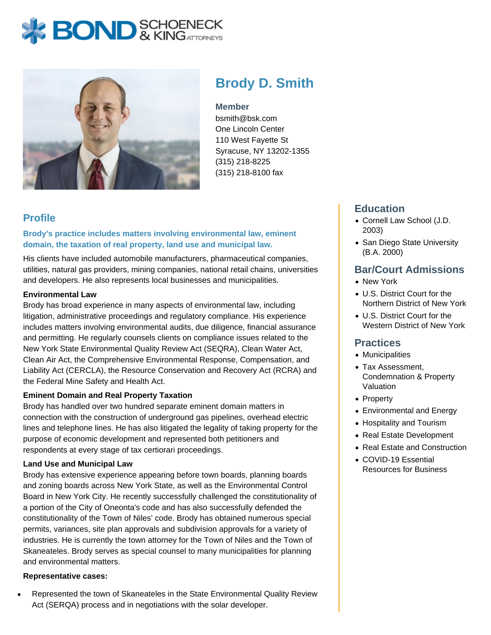# Brody D. Smith

#### Member

bsmith@bsk.com One Lincoln Center 110 West Fayette St Syracuse, NY 13202-1355 (315) 218-8225 (315) 218-8100 fax

## Profile

Brody's practice includes matters involving environmental law, eminent domain, the taxation of real property, land use and municipal law.

His clients have included automobile manufacturers, pharmaceutical companies, utilities, natural gas providers, mining companies, national retail chains, universities and developers. He also represents local businesses and municipalities.

#### Environmental Law

Brody has broad experience in many aspects of environmental law, including litigation, administrative proceedings and regulatory compliance. His experience includes matters involving environmental audits, due diligence, financial assurance and permitting. He regularly counsels clients on compliance issues related to the New York State Environmental Quality Review Act (SEQRA), Clean Water Act, Clean Air Act, the Comprehensive Environmental Response, Compensation, and Liability Act (CERCLA), the Resource Conservation and Recovery Act (RCRA) and the Federal Mine Safety and Health Act.

#### Eminent Domain and Real Property Taxation

Brody has handled over two hundred separate eminent domain matters in connection with the construction of underground gas pipelines, overhead electric lines and telephone lines. He has also litigated the legality of taking property for the purpose of economic development and represented both petitioners and respondents at every stage of tax certiorari proceedings.

#### Land Use and Municipal Law

Brody has extensive experience appearing before town boards, planning boards and zoning boards across New York State, as well as the Environmental Control Board in New York City. He recently successfully challenged the constitutionality of a portion of the City of Oneonta's code and has also successfully defended the constitutionality of the Town of Niles' code. Brody has obtained numerous special permits, variances, site plan approvals and subdivision approvals for a variety of industries. He is currently the town attorney for the Town of Niles and the Town of Skaneateles. Brody serves as special counsel to many municipalities for planning and environmental matters.

Representative cases:

[Represented the town of Skaneateles in the State Environmental Quality Review](https://www.bsk.com/uploads/Brody-Smith-Excerpt.jpg) [Act \(SERQA\) process and in negotiations with the solar developer.](https://www.bsk.com/uploads/Brody-Smith-Excerpt.jpg)

## **Education**

- Cornell Law School (J.D. 2003)
- San Diego State University (B.A. 2000)

## Bar/Court Admissions

- New York
- U.S. District Court for the Northern District of New York
- U.S. District Court for the Western District of New York

#### **Practices**

- Municipalities
- Tax Assessment, Condemnation & Property Valuation
- Property
- Environmental and Energy
- Hospitality and Tourism
- Real Estate Development
- Real Estate and Construction
- COVID-19 Essential Resources for Business